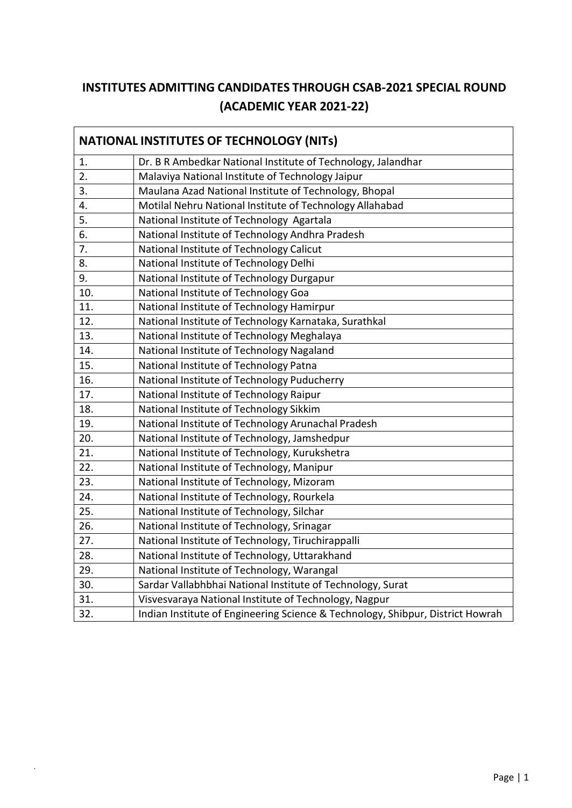## **INSTITUTES ADMITTING CANDIDATES THROUGH CSAB-2021 SPECIAL ROUND (ACADEMIC YEAR 2021-22)**

| <b>NATIONAL INSTITUTES OF TECHNOLOGY (NITS)</b> |                                                                                |  |
|-------------------------------------------------|--------------------------------------------------------------------------------|--|
| 1.                                              | Dr. B R Ambedkar National Institute of Technology, Jalandhar                   |  |
| 2.                                              | Malaviya National Institute of Technology Jaipur                               |  |
| 3.                                              | Maulana Azad National Institute of Technology, Bhopal                          |  |
| 4.                                              | Motilal Nehru National Institute of Technology Allahabad                       |  |
| $\overline{5}$ .                                | National Institute of Technology Agartala                                      |  |
| 6.                                              | National Institute of Technology Andhra Pradesh                                |  |
| 7.                                              | National Institute of Technology Calicut                                       |  |
| 8.                                              | National Institute of Technology Delhi                                         |  |
| 9.                                              | National Institute of Technology Durgapur                                      |  |
| 10.                                             | National Institute of Technology Goa                                           |  |
| 11.                                             | National Institute of Technology Hamirpur                                      |  |
| 12.                                             | National Institute of Technology Karnataka, Surathkal                          |  |
| 13.                                             | National Institute of Technology Meghalaya                                     |  |
| 14.                                             | National Institute of Technology Nagaland                                      |  |
| 15.                                             | National Institute of Technology Patna                                         |  |
| 16.                                             | National Institute of Technology Puducherry                                    |  |
| 17.                                             | National Institute of Technology Raipur                                        |  |
| 18.                                             | National Institute of Technology Sikkim                                        |  |
| 19.                                             | National Institute of Technology Arunachal Pradesh                             |  |
| 20.                                             | National Institute of Technology, Jamshedpur                                   |  |
| 21.                                             | National Institute of Technology, Kurukshetra                                  |  |
| 22.                                             | National Institute of Technology, Manipur                                      |  |
| 23.                                             | National Institute of Technology, Mizoram                                      |  |
| 24.                                             | National Institute of Technology, Rourkela                                     |  |
| 25.                                             | National Institute of Technology, Silchar                                      |  |
| 26.                                             | National Institute of Technology, Srinagar                                     |  |
| 27.                                             | National Institute of Technology, Tiruchirappalli                              |  |
| 28.                                             | National Institute of Technology, Uttarakhand                                  |  |
| 29.                                             | National Institute of Technology, Warangal                                     |  |
| 30.                                             | Sardar Vallabhbhai National Institute of Technology, Surat                     |  |
| 31.                                             | Visvesvaraya National Institute of Technology, Nagpur                          |  |
| 32.                                             | Indian Institute of Engineering Science & Technology, Shibpur, District Howrah |  |

 $\mathcal{L}^{(1)}$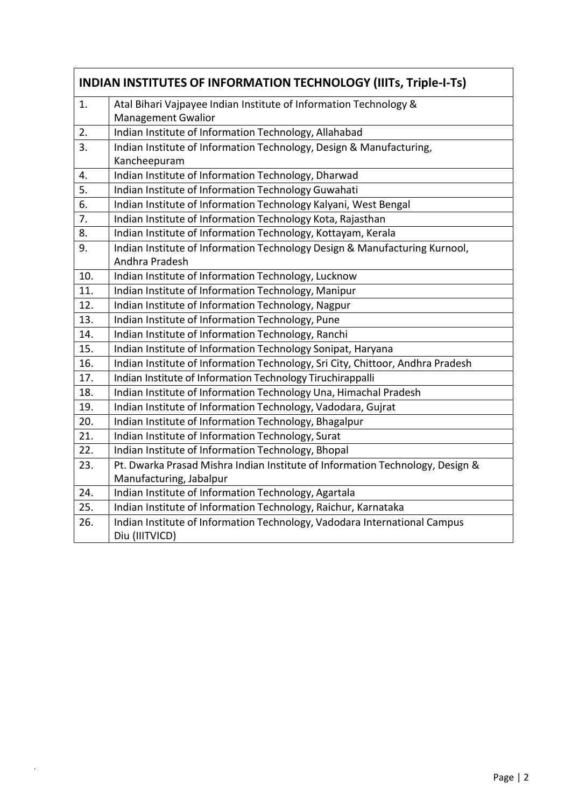| <b>INDIAN INSTITUTES OF INFORMATION TECHNOLOGY (IIITS, Triple-I-TS)</b> |                                                                                                |  |
|-------------------------------------------------------------------------|------------------------------------------------------------------------------------------------|--|
| 1.                                                                      | Atal Bihari Vajpayee Indian Institute of Information Technology &<br><b>Management Gwalior</b> |  |
| 2.                                                                      | Indian Institute of Information Technology, Allahabad                                          |  |
| 3.                                                                      | Indian Institute of Information Technology, Design & Manufacturing,                            |  |
|                                                                         | Kancheepuram                                                                                   |  |
| 4.                                                                      | Indian Institute of Information Technology, Dharwad                                            |  |
| 5.                                                                      | Indian Institute of Information Technology Guwahati                                            |  |
| 6.                                                                      | Indian Institute of Information Technology Kalyani, West Bengal                                |  |
| 7.                                                                      | Indian Institute of Information Technology Kota, Rajasthan                                     |  |
| 8.                                                                      | Indian Institute of Information Technology, Kottayam, Kerala                                   |  |
| 9.                                                                      | Indian Institute of Information Technology Design & Manufacturing Kurnool,<br>Andhra Pradesh   |  |
| 10.                                                                     | Indian Institute of Information Technology, Lucknow                                            |  |
| 11.                                                                     | Indian Institute of Information Technology, Manipur                                            |  |
| 12.                                                                     | Indian Institute of Information Technology, Nagpur                                             |  |
| 13.                                                                     | Indian Institute of Information Technology, Pune                                               |  |
| 14.                                                                     | Indian Institute of Information Technology, Ranchi                                             |  |
| 15.                                                                     | Indian Institute of Information Technology Sonipat, Haryana                                    |  |
| 16.                                                                     | Indian Institute of Information Technology, Sri City, Chittoor, Andhra Pradesh                 |  |
| 17.                                                                     | Indian Institute of Information Technology Tiruchirappalli                                     |  |
| 18.                                                                     | Indian Institute of Information Technology Una, Himachal Pradesh                               |  |
| 19.                                                                     | Indian Institute of Information Technology, Vadodara, Gujrat                                   |  |
| 20.                                                                     | Indian Institute of Information Technology, Bhagalpur                                          |  |
| 21.                                                                     | Indian Institute of Information Technology, Surat                                              |  |
| 22.                                                                     | Indian Institute of Information Technology, Bhopal                                             |  |
| 23.                                                                     | Pt. Dwarka Prasad Mishra Indian Institute of Information Technology, Design &                  |  |
|                                                                         | Manufacturing, Jabalpur                                                                        |  |
| 24.                                                                     | Indian Institute of Information Technology, Agartala                                           |  |
| 25.                                                                     | Indian Institute of Information Technology, Raichur, Karnataka                                 |  |
| 26.                                                                     | Indian Institute of Information Technology, Vadodara International Campus<br>Diu (IIITVICD)    |  |

 $\mathcal{L}(\mathcal{A})$  .